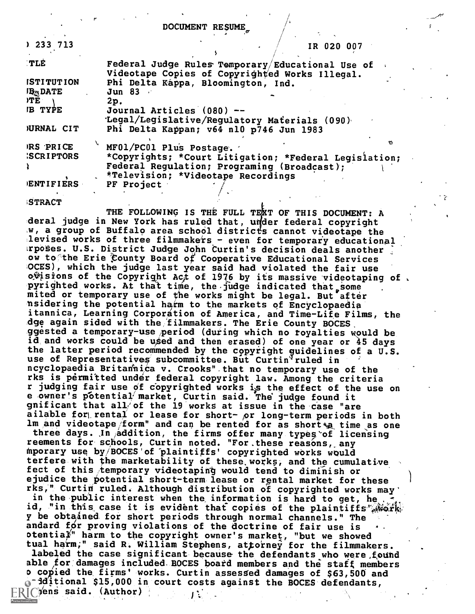DOCUMENT RESUME,

| 1233713                   | IR 020 007                                                                           |     |
|---------------------------|--------------------------------------------------------------------------------------|-----|
| <b>TLE</b>                | Federal Judge Rules Temporary/Educational Use of                                     |     |
| <b>ISTITUTION</b>         | Videotape Copies of Copyrighted Works Illegal.<br>Phi Delta Kappa, Bloomington, Ind. |     |
| <b>IB<sub>M</sub>DATE</b> | Jun 83                                                                               |     |
| ATE                       | 2p.                                                                                  |     |
| <b>IB TYPE</b>            | Journal Articles (080) --                                                            |     |
|                           | 'Legal/Legislative/Regulatory Materials (090)                                        |     |
| <b>JURNAL CIT</b>         | Phi Delta Kappan; v64 n10 p746 Jun 1983                                              |     |
| IRS PRICE                 | MF01/PC01 Plus Postage.                                                              |     |
| <b>SCRIPTORS</b>          | *Copyrights; *Court Litigation; *Federal Legislation;                                |     |
|                           | Federal Regulation; Programing (Broadcast);                                          |     |
|                           | *Television; *Videotape Recordings                                                   |     |
| ENTIFIERS                 | PF Project                                                                           |     |
|                           |                                                                                      | - > |
| <b>STRACT</b>             |                                                                                      |     |

THE FOLLOWING IS THE FULL TEXT OF THIS DOCUMENT: A deral judge in New York has ruled that, under federal copyright w, a group of Buffalo area school districts cannot videotape the levised works of three filmmakers - even for temporary educational rposes. U.S. District Judge John Curtin's decision deals another ow to the Erie County Board of Cooperative Educational Services OCES), which the judge last year said had violated the fair use  $\infty$ ) of the Copyright Act of 1976 by its massive videotaping of pyrighted works. At that time, the judge indicated that some mited or temporary use of the works might be legal. But after nsidering the potential harm to the markets of Encyclopaedia itannica, Learning Corporation of America, and Time-Life Films, the dge again sided with the filmmakers. The Erie County BOCES ggested a temporary-use period (during which no royalties would be id and works could be used and then erased) of one year or 45 days the latter period recommended by the copyright guidelines of a U.S. use of Representatives subcommittee. But Curtin<sup>V</sup>ruled in ncyclopaedia Britadhica v. Crooks" -that no temporary use of the rks is permitted under federal copyright law. Among the criteria r judging fair use of copyrighted works is the effect of the use on e owner's potential market, Curtin said. The judge found it gnificant that all of the 19 works at issue in the case "are ailable for rental or lease for short- or long-term periods in both  $1$ m and videotape/form" and can be rented for as short a time as one three days. In  ${}_i$ addition, the firms offer many types of licensing reements for schools, Curtin noted. "For,these reasons, any Mporary use by/BOCES'of-plaintiffs' copyrighted works would terfere with the marketability of these, works, and the cumulative fect of this temporary videotaping would tend to diminish or ejudice the potential short-term lease or rental market for these rks," Curtin ruled. Although distribution of copyrighted works may' in the public interest when the information is hard to get, he id, "in this case it is evident that copies of the plaintiffs" work. y be obtained for short periods through normal channels." The andard for proving violations of the doctrine of fair use is  $\phi$  otentia $\not\!\!\!\!/$ " harm to the copyright owner's market, "but we showed tual harm;" said R. William Stephens, attorney for the filmmakers. labeled the case significant because the defendants who were found able tor damages included, BOCES board members and the staff members D copied the firms' works. Curtin assessed damages of \$63,500 and a<sup>-</sup>dditional \$15,000 in court costs against the BOCES defendants,

 $\mathbf{F}$ 

 $\mathsf{FRIC}$ iens said. (Author) (